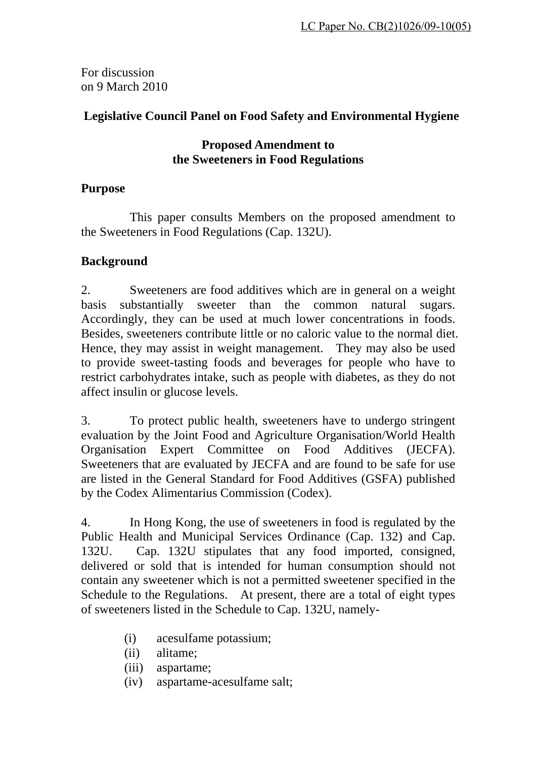For discussion on 9 March 2010

# **Legislative Council Panel on Food Safety and Environmental Hygiene**

### **Proposed Amendment to the Sweeteners in Food Regulations**

## **Purpose**

 This paper consults Members on the proposed amendment to the Sweeteners in Food Regulations (Cap. 132U).

## **Background**

2. Sweeteners are food additives which are in general on a weight basis substantially sweeter than the common natural sugars. Accordingly, they can be used at much lower concentrations in foods. Besides, sweeteners contribute little or no caloric value to the normal diet. Hence, they may assist in weight management. They may also be used to provide sweet-tasting foods and beverages for people who have to restrict carbohydrates intake, such as people with diabetes, as they do not affect insulin or glucose levels.

3. To protect public health, sweeteners have to undergo stringent evaluation by the Joint Food and Agriculture Organisation/World Health Organisation Expert Committee on Food Additives (JECFA). Sweeteners that are evaluated by JECFA and are found to be safe for use are listed in the General Standard for Food Additives (GSFA) published by the Codex Alimentarius Commission (Codex).

4. In Hong Kong, the use of sweeteners in food is regulated by the Public Health and Municipal Services Ordinance (Cap. 132) and Cap. 132U. Cap. 132U stipulates that any food imported, consigned, delivered or sold that is intended for human consumption should not contain any sweetener which is not a permitted sweetener specified in the Schedule to the Regulations. At present, there are a total of eight types of sweeteners listed in the Schedule to Cap. 132U, namely-

- (i) acesulfame potassium;
- (ii) alitame;
- (iii) aspartame;
- (iv) aspartame-acesulfame salt;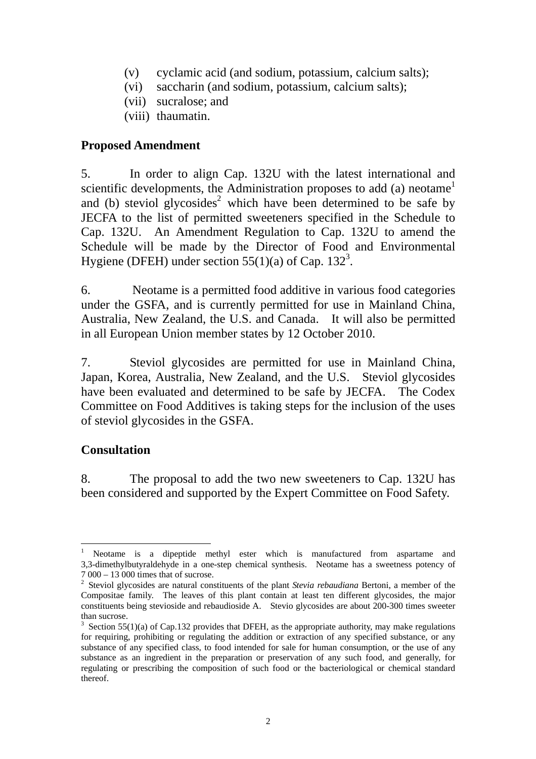- (v) cyclamic acid (and sodium, potassium, calcium salts);
- (vi) saccharin (and sodium, potassium, calcium salts);
- (vii) sucralose; and
- (viii) thaumatin.

### **Proposed Amendment**

5. In order to align Cap. 132U with the latest international and scientific developments, the Administration proposes to add (a) neotame<sup>1</sup> and (b) steviol glycosides<sup>2</sup> which have been determined to be safe by JECFA to the list of permitted sweeteners specified in the Schedule to Cap. 132U. An Amendment Regulation to Cap. 132U to amend the Schedule will be made by the Director of Food and Environmental Hygiene (DFEH) under section 55(1)(a) of Cap.  $132<sup>3</sup>$ .

6. Neotame is a permitted food additive in various food categories under the GSFA, and is currently permitted for use in Mainland China, Australia, New Zealand, the U.S. and Canada. It will also be permitted in all European Union member states by 12 October 2010.

7. Steviol glycosides are permitted for use in Mainland China, Japan, Korea, Australia, New Zealand, and the U.S. Steviol glycosides have been evaluated and determined to be safe by JECFA. The Codex Committee on Food Additives is taking steps for the inclusion of the uses of steviol glycosides in the GSFA.

## **Consultation**

8. The proposal to add the two new sweeteners to Cap. 132U has been considered and supported by the Expert Committee on Food Safety.

 $\overline{a}$ 1 Neotame is a dipeptide methyl ester which is manufactured from aspartame and 3,3-dimethylbutyraldehyde in a one-step chemical synthesis. Neotame has a sweetness potency of 7 000 – 13 000 times that of sucrose.

<sup>2</sup> Steviol glycosides are natural constituents of the plant *Stevia rebaudiana* Bertoni, a member of the Compositae family. The leaves of this plant contain at least ten different glycosides, the major constituents being stevioside and rebaudioside A. Stevio glycosides are about 200-300 times sweeter than sucrose.

 $3$  Section 55(1)(a) of Cap.132 provides that DFEH, as the appropriate authority, may make regulations for requiring, prohibiting or regulating the addition or extraction of any specified substance, or any substance of any specified class, to food intended for sale for human consumption, or the use of any substance as an ingredient in the preparation or preservation of any such food, and generally, for regulating or prescribing the composition of such food or the bacteriological or chemical standard thereof.